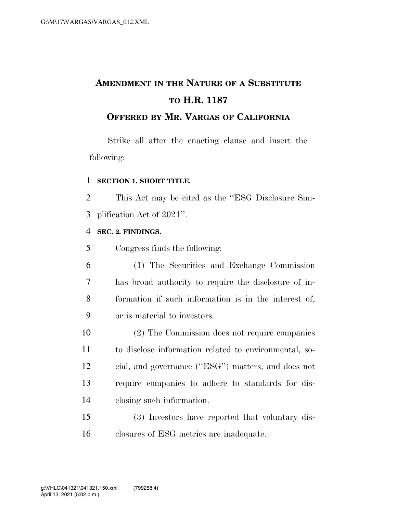# **AMENDMENT IN THE NATURE OF A SUBSTITUTE TO H.R. 1187**

### **OFFERED BY MR. VARGAS OF CALIFORNIA**

Strike all after the enacting clause and insert the following:

#### **SECTION 1. SHORT TITLE.**

 This Act may be cited as the ''ESG Disclosure Sim-plification Act of 2021''.

#### **SEC. 2. FINDINGS.**

Congress finds the following:

- (1) The Securities and Exchange Commission has broad authority to require the disclosure of in- formation if such information is in the interest of, or is material to investors.
- (2) The Commission does not require companies to disclose information related to environmental, so- cial, and governance (''ESG'') matters, and does not require companies to adhere to standards for dis-closing such information.

 (3) Investors have reported that voluntary dis-closures of ESG metrics are inadequate.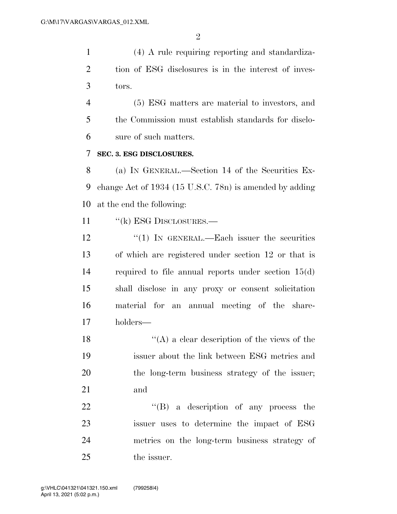(4) A rule requiring reporting and standardiza- tion of ESG disclosures is in the interest of inves-tors.

 (5) ESG matters are material to investors, and the Commission must establish standards for disclo-sure of such matters.

#### **SEC. 3. ESG DISCLOSURES.**

 (a) IN GENERAL.—Section 14 of the Securities Ex- change Act of 1934 (15 U.S.C. 78n) is amended by adding at the end the following:

11 "(k) ESG DISCLOSURES.—

12 "(1) In GENERAL.—Each issuer the securities of which are registered under section 12 or that is required to file annual reports under section 15(d) shall disclose in any proxy or consent solicitation material for an annual meeting of the share-holders—

 $\langle (A)$  a clear description of the views of the issuer about the link between ESG metrics and the long-term business strategy of the issuer; and

22 "'(B) a description of any process the issuer uses to determine the impact of ESG metrics on the long-term business strategy of the issuer.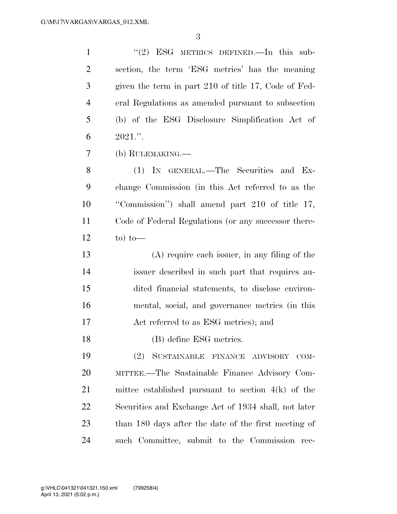1 ''(2) ESG METRICS DEFINED.—In this sub- section, the term 'ESG metrics' has the meaning given the term in part 210 of title 17, Code of Fed- eral Regulations as amended pursuant to subsection (b) of the ESG Disclosure Simplification Act of 6 .". (b) RULEMAKING.— (1) IN GENERAL.—The Securities and Ex- change Commission (in this Act referred to as the ''Commission'') shall amend part 210 of title 17, Code of Federal Regulations (or any successor there-12 to) to— (A) require each issuer, in any filing of the issuer described in such part that requires au- dited financial statements, to disclose environ- mental, social, and governance metrics (in this Act referred to as ESG metrics); and (B) define ESG metrics. (2) SUSTAINABLE FINANCE ADVISORY COM- MITTEE.—The Sustainable Finance Advisory Com- mittee established pursuant to section 4(k) of the Securities and Exchange Act of 1934 shall, not later than 180 days after the date of the first meeting of such Committee, submit to the Commission rec-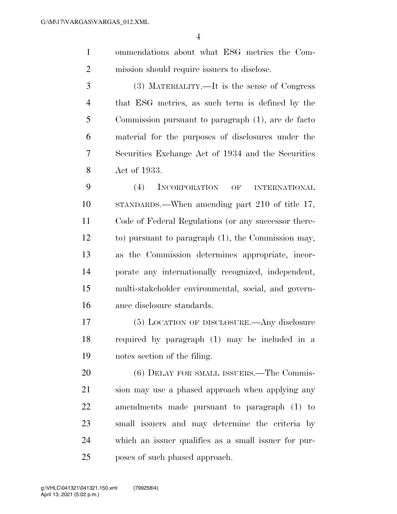- ommendations about what ESG metrics the Com-mission should require issuers to disclose.
- (3) MATERIALITY.—It is the sense of Congress that ESG metrics, as such term is defined by the Commission pursuant to paragraph (1), are de facto material for the purposes of disclosures under the Securities Exchange Act of 1934 and the Securities Act of 1933.

 (4) INCORPORATION OF INTERNATIONAL STANDARDS.—When amending part 210 of title 17, Code of Federal Regulations (or any successor there- to) pursuant to paragraph (1), the Commission may, as the Commission determines appropriate, incor- porate any internationally recognized, independent, multi-stakeholder environmental, social, and govern-ance disclosure standards.

 (5) LOCATION OF DISCLOSURE.—Any disclosure required by paragraph (1) may be included in a notes section of the filing.

20 (6) DELAY FOR SMALL ISSUERS.—The Commis- sion may use a phased approach when applying any amendments made pursuant to paragraph (1) to small issuers and may determine the criteria by which an issuer qualifies as a small issuer for pur-poses of such phased approach.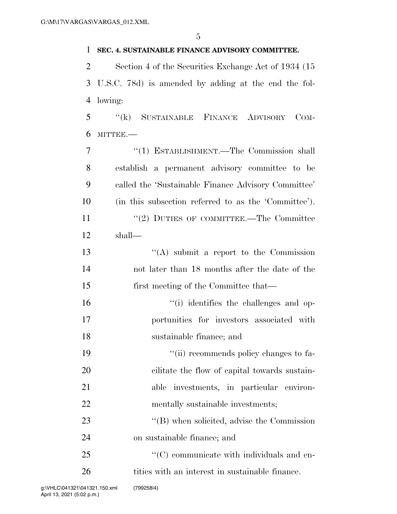#### **SEC. 4. SUSTAINABLE FINANCE ADVISORY COMMITTEE.**

 Section 4 of the Securities Exchange Act of 1934 (15 U.S.C. 78d) is amended by adding at the end the fol-lowing:

 ''(k) SUSTAINABLE FINANCE ADVISORY COM-MITTEE.—

 ''(1) ESTABLISHMENT.—The Commission shall establish a permanent advisory committee to be called the 'Sustainable Finance Advisory Committee' (in this subsection referred to as the 'Committee'). 11 ''(2) DUTIES OF COMMITTEE.—The Committee shall— ''(A) submit a report to the Commission not later than 18 months after the date of the first meeting of the Committee that—  $\frac{1}{10}$  identifies the challenges and op- portunities for investors associated with sustainable finance; and  $\frac{1}{2}$  ''(ii) recommends policy changes to fa- cilitate the flow of capital towards sustain- able investments, in particular environ-22 mentally sustainable investments; 23 ''(B) when solicited, advise the Commission on sustainable finance; and  $\cdot$  (C) communicate with individuals and en-

26 tities with an interest in sustainable finance.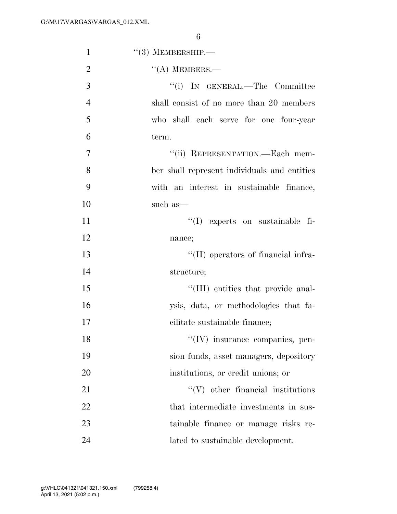| $\mathbf{1}$   | $\cdot\cdot$ (3) MEMBERSHIP.—                |
|----------------|----------------------------------------------|
| $\overline{2}$ | $\lq\lq$ (A) MEMBERS.—                       |
| 3              | "(i) IN GENERAL.—The Committee               |
| $\overline{4}$ | shall consist of no more than 20 members     |
| 5              | who shall each serve for one four-year       |
| 6              | term.                                        |
| $\tau$         | "(ii) REPRESENTATION.—Each mem-              |
| 8              | ber shall represent individuals and entities |
| 9              | with an interest in sustainable finance,     |
| 10             | such as—                                     |
| 11             | $\lq(1)$ experts on sustainable fi-          |
| 12             | nance;                                       |
| 13             | "(II) operators of financial infra-          |
| 14             | structure;                                   |
| 15             | "(III) entities that provide anal-           |
| 16             | ysis, data, or methodologies that fa-        |
| 17             | cilitate sustainable finance;                |
| 18             | "(IV) insurance companies, pen-              |
| 19             | sion funds, asset managers, depository       |
| 20             | institutions, or credit unions; or           |
| 21             | $\lq\lq$ (V) other financial institutions    |
| 22             | that intermediate investments in sus-        |
| 23             | tainable finance or manage risks re-         |
| 24             | lated to sustainable development.            |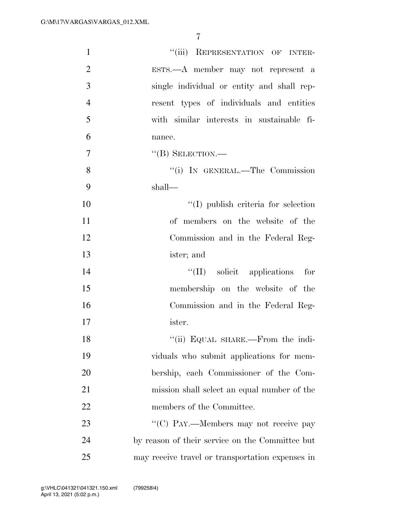| $\mathbf{1}$   | "(iii) REPRESENTATION OF INTER-                  |
|----------------|--------------------------------------------------|
| $\overline{2}$ | ESTS.—A member may not represent a               |
| 3              | single individual or entity and shall rep-       |
| $\overline{4}$ | resent types of individuals and entities         |
| 5              | with similar interests in sustainable fi-        |
| 6              | nance.                                           |
| $\overline{7}$ | $\lq\lq (B)$ SELECTION.—                         |
| 8              | "(i) IN GENERAL.—The Commission                  |
| 9              | shall—                                           |
| 10             | $\lq\lq$ (I) publish criteria for selection      |
| 11             | of members on the website of the                 |
| 12             | Commission and in the Federal Reg-               |
| 13             | ister; and                                       |
| 14             | "(II) solicit applications for                   |
| 15             | membership on the website of the                 |
| 16             | Commission and in the Federal Reg-               |
| 17             | ister.                                           |
| 18             | "(ii) EQUAL SHARE.—From the indi-                |
| 19             | viduals who submit applications for mem-         |
| 20             | bership, each Commissioner of the Com-           |
| 21             | mission shall select an equal number of the      |
| 22             | members of the Committee.                        |
| 23             | "(C) PAY.—Members may not receive pay            |
| 24             | by reason of their service on the Committee but  |
| 25             | may receive travel or transportation expenses in |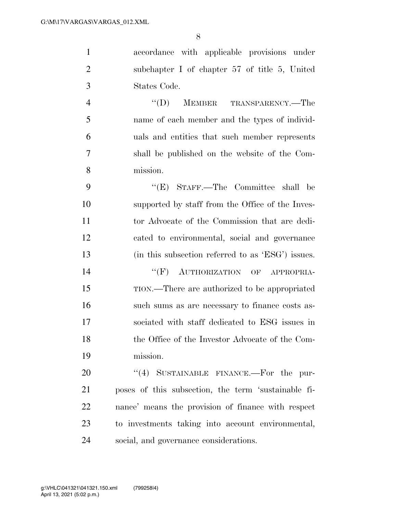accordance with applicable provisions under subchapter I of chapter 57 of title 5, United States Code.

 ''(D) MEMBER TRANSPARENCY.—The name of each member and the types of individ- uals and entities that such member represents shall be published on the website of the Com-mission.

 ''(E) STAFF.—The Committee shall be supported by staff from the Office of the Inves- tor Advocate of the Commission that are dedi- cated to environmental, social and governance (in this subsection referred to as 'ESG') issues. 14 "(F) AUTHORIZATION OF APPROPRIA-

 TION.—There are authorized to be appropriated such sums as are necessary to finance costs as- sociated with staff dedicated to ESG issues in the Office of the Investor Advocate of the Com-mission.

20 "(4) SUSTAINABLE FINANCE.—For the pur- poses of this subsection, the term 'sustainable fi- nance' means the provision of finance with respect to investments taking into account environmental, social, and governance considerations.